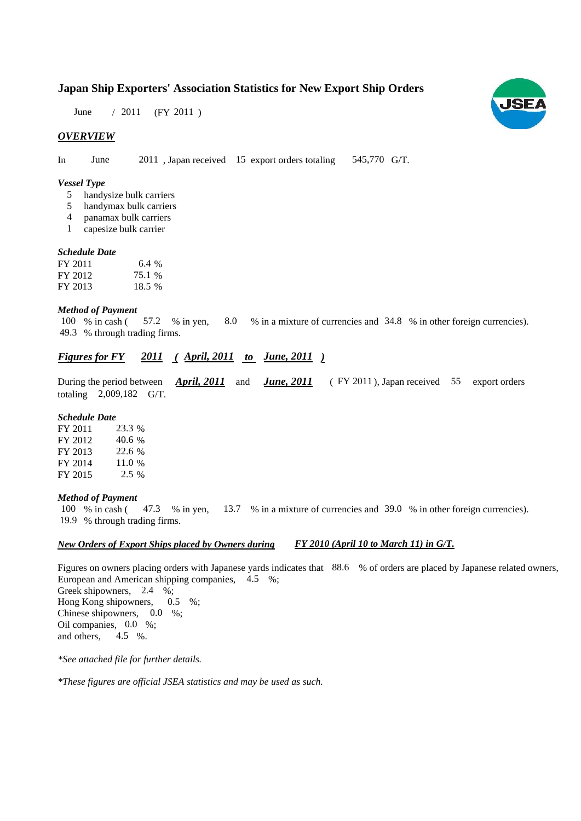## **Japan Ship Exporters' Association Statistics for New Export Ship Orders**

June / 2011 (FY 2011)

#### *OVERVIEW*

In June 2011, Japan received 15 export orders totaling 545,770 G/T. 545,770 G/T.

#### *Vessel Type*

- handysize bulk carriers 5
- handymax bulk carriers 5
- panamax bulk carriers 4
- capesize bulk carrier 1

#### *Schedule Date Schedule*

| FY 2011 | 6.4%   |
|---------|--------|
| FY 2012 | 75.1 % |
| FY 2013 | 18.5 % |

#### *Method of Payment*

% in cash (57.2 % in yen, 8.0 % in a mixture of currencies and 34.8 % in other foreign currencies). % through trading firms. 49.3 8.0 100 % in cash (57.2 % in yen,

### *<u>Figures for FY 2011 (April, 2011 to June, 2011)</u>*

During the period between *April, 2011* and *June, 2011* (FY 2011), Japan received 55 export orders totaling  $2,009,182$  G/T.

#### *Schedule Date*

| FY 2011 | 23.3 %  |
|---------|---------|
| FY 2012 | 40.6 %  |
| FY 2013 | 22.6 %  |
| FY 2014 | 11.0%   |
| FY 2015 | $2.5\%$ |

#### *Method of Payment*

% in cash ( $\frac{47.3}{8}$  % in yen,  $\frac{13.7}{8}$  % in a mixture of currencies and 39.0 % in other foreign currencies). % through trading firms. 19.9 100 % in cash (47.3 % in ven.

#### *New Orders of Export Ships placed by Owners during FY 2010 (April 10 to March 11) in G/T.*

Figures on owners placing orders with Japanese yards indicates that 88.6 % of orders are placed by Japanese related owners, European and American shipping companies, 4.5 %;

Greek shipowners,  $2.4 \%$ ; Hong Kong shipowners,  $0.5\%$ ; Chinese shipowners,  $0.0\%$ ; Oil companies, 0.0 %; 0.5 and others, 4.5  $%$ 

*\*See attached file for further details.*

*\*These figures are official JSEA statistics and may be used as such.*

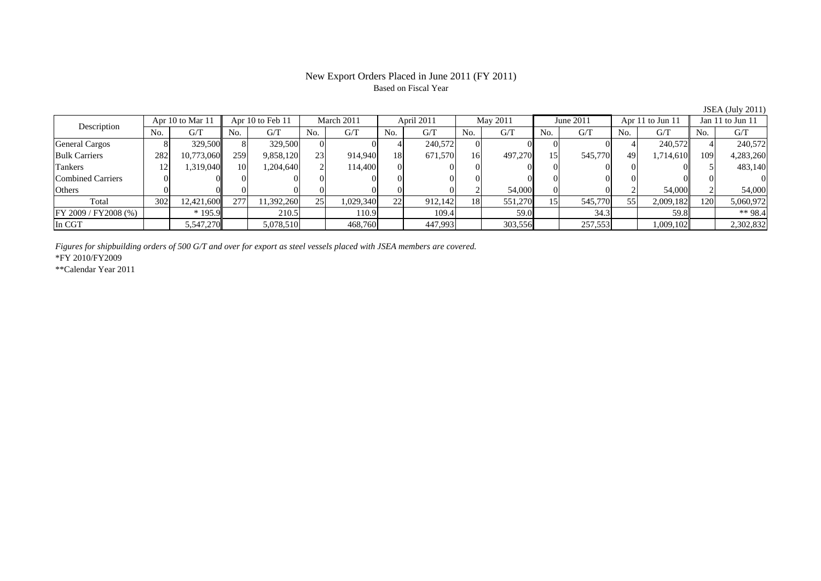#### New Export Orders Placed in June 2011 (FY 2011) Based on Fiscal Year

No.  $G/T$ Description No. G/T No. G/T No. G/T No. G/T No. G/T No. G/T No. G/T No. G/T No. G/T No. G/T Apr 10 to Mar 11 | Apr 10 to Feb 11 | March 2011 | April 2011 | May 2011 June 2011 | Apr 11 to Jun 11 | Jan 11 to Jun 11 . | G/T ||No. | G/T ||No. | G/T ||No. | G/T ||No. | G/T ||No. | G/T ||No. | G/T ||No. | G/ General Cargos 8 329,500 8 329,500 0 0 4 240,572 0 0 0 0 4 240,572 4 240,572 Bulk Carriers 282 10,773,060 259 9,858,120 23 914,940 18 671,570 16 497,270 15 545,770 49 1,714,610 109 4,283,260 Tankers 12 1,319,040 10 1,204,640 2 114,400 0 0 0 0 0 0 0 0 5 483,140 Combined Carriers 0 0 0 0 0 0 0 0 0 0 0 0 0 0 0 0Others | 0 | 0 | 0 | 0 | 0 | 0 | 2 | 54,000 | 0 | 2 | 54,000 | 2 | Total otal | 302 | 12,421,600|| 277 | 11,392,260| 25| 1,029,340| 22 | 912,142 | 18 | 551,270 | 15 | 545,770 | 55 | 2,009,182|| 120 | 5,060,972 FY 2009 / FY2008 (%) | \* 195.9 | 210.5 | 110.9 | 109.4 | 59.0 | 34.3 | 59.8 | \*\* 98.4 In CGT 5,547,270 5,078,510 468,760 447,993 303,556 257,553 1,009,102 2,302,832

*Figures for shipbuilding orders of 500 G/T and over for export as steel vessels placed with JSEA members are covered.*

\*FY 2010/FY2009

\*\*Calendar Year 2011

JSEA (July 2011)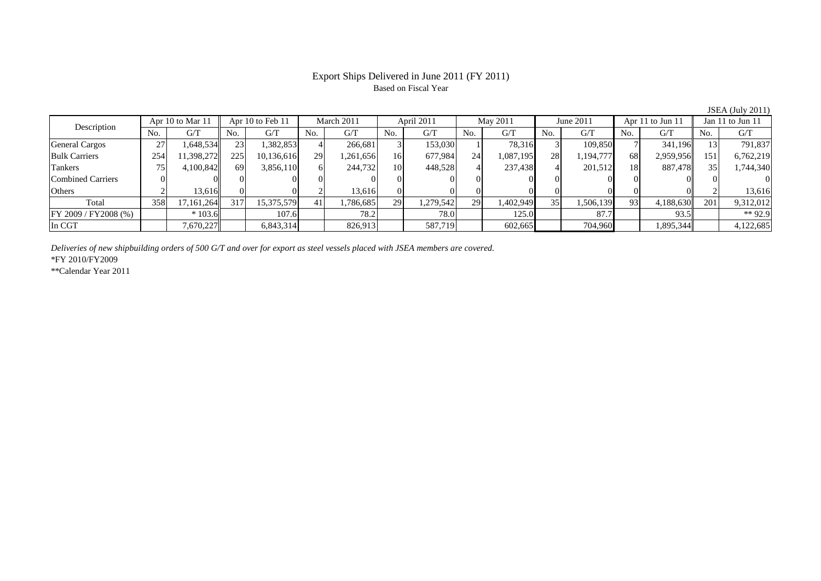#### Export Ships Delivered in June 2011 (FY 2011) Based on Fiscal Year

No. G/T No. G/T No. G/T No. G/T No. G/T No. G/T No. G/T No. G/T $G/T$ General Cargos ( 27 1,648,534 23 1,382,853 4 266,681 3 153,030 1 78,316 3 109,850 7 341,196 13 791,837 Bulk Carriers 254 11,398,272 225 10,136,616 29 1,261,656 16 677,984 24 1,087,195 28 1,194,777 68 2,959,956 151 6,762,219 Tankers | 75 | 4,100,842 || 69 | 3,856,110 | 6| 244,732 | 10 | 448,528 | 4 | 237,438 | 4 | 201,512 | 18 | 887,478 || 35 | 1,744,340 Combined Carriers 0 0 0 0 0 0 0 0 0 0 0 0 0 0 0 0Others 2 13,616 0 0 2 13,616 0 0 0 0 0 0 0 0 2 13,616 Total 358 17,161,264 317 15,375,579 41 1,786,685 29 1,279,542 29 1,402,949 35 1,506,139 93 4,188,630 201 9,312,012 FY 2009 / FY2008 (%) \* 103.6 107.6 78.2 78.0 125.0 87.7 93.5 \*\* 92.9 In CGT | | 7,670,227|| | 6,843,314| | 826,913| | 587,719| | 602,665| | 704,960| | 1,895,344|| | 4,122,685 Description Apr 10 to Mar 11 Apr 10 to Feb 11 March 2011 April 2011<br>No. 6/T No. 6/T No. 6/T No. 6/T No. 6/T Apr 10 to Feb 11 March 2011 | April 2011 | May 2011 June 2011 | Apr 11 to Jun 11 | Jan 11 to Jun 11

*Deliveries of new shipbuilding orders of 500 G/T and over for export as steel vessels placed with JSEA members are covered.*

\*FY 2010/FY2009

\*\*Calendar Year 2011

JSEA (July 2011)